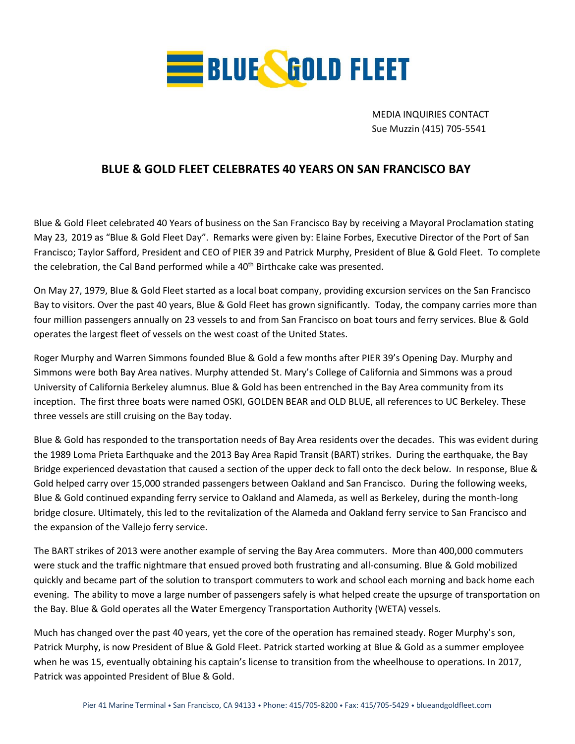

MEDIA INQUIRIES CONTACT Sue Muzzin (415) 705-5541

## **BLUE & GOLD FLEET CELEBRATES 40 YEARS ON SAN FRANCISCO BAY**

Blue & Gold Fleet celebrated 40 Years of business on the San Francisco Bay by receiving a Mayoral Proclamation stating May 23, 2019 as "Blue & Gold Fleet Day". Remarks were given by: Elaine Forbes, Executive Director of the Port of San Francisco; Taylor Safford, President and CEO of PIER 39 and Patrick Murphy, President of Blue & Gold Fleet. To complete the celebration, the Cal Band performed while a 40<sup>th</sup> Birthcake cake was presented.

On May 27, 1979, Blue & Gold Fleet started as a local boat company, providing excursion services on the San Francisco Bay to visitors. Over the past 40 years, Blue & Gold Fleet has grown significantly. Today, the company carries more than four million passengers annually on 23 vessels to and from San Francisco on boat tours and ferry services. Blue & Gold operates the largest fleet of vessels on the west coast of the United States.

Roger Murphy and Warren Simmons founded Blue & Gold a few months after PIER 39's Opening Day. Murphy and Simmons were both Bay Area natives. Murphy attended St. Mary's College of California and Simmons was a proud University of California Berkeley alumnus. Blue & Gold has been entrenched in the Bay Area community from its inception. The first three boats were named OSKI, GOLDEN BEAR and OLD BLUE, all references to UC Berkeley. These three vessels are still cruising on the Bay today.

Blue & Gold has responded to the transportation needs of Bay Area residents over the decades. This was evident during the 1989 Loma Prieta Earthquake and the 2013 Bay Area Rapid Transit (BART) strikes. During the earthquake, the Bay Bridge experienced devastation that caused a section of the upper deck to fall onto the deck below. In response, Blue & Gold helped carry over 15,000 stranded passengers between Oakland and San Francisco. During the following weeks, Blue & Gold continued expanding ferry service to Oakland and Alameda, as well as Berkeley, during the month-long bridge closure. Ultimately, this led to the revitalization of the Alameda and Oakland ferry service to San Francisco and the expansion of the Vallejo ferry service.

The BART strikes of 2013 were another example of serving the Bay Area commuters. More than 400,000 commuters were stuck and the traffic nightmare that ensued proved both frustrating and all-consuming. Blue & Gold mobilized quickly and became part of the solution to transport commuters to work and school each morning and back home each evening. The ability to move a large number of passengers safely is what helped create the upsurge of transportation on the Bay. Blue & Gold operates all the Water Emergency Transportation Authority (WETA) vessels.

Much has changed over the past 40 years, yet the core of the operation has remained steady. Roger Murphy's son, Patrick Murphy, is now President of Blue & Gold Fleet. Patrick started working at Blue & Gold as a summer employee when he was 15, eventually obtaining his captain's license to transition from the wheelhouse to operations. In 2017, Patrick was appointed President of Blue & Gold.